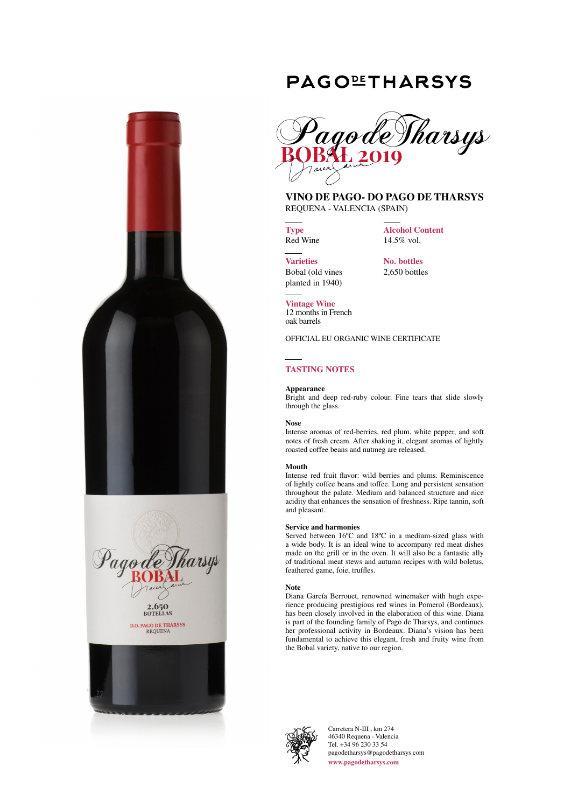



# **PAGOLITHARSYS**



# **VINO DE PAGO- DO PAGO DE THARSYS** REQUENA - VALENCIA (SPAIN)

**Type** Red Wine **Alcohol Content** 14.5% vol.

**Varieties** Bobal (old vines planted in 1940) **No. bottles** 2,650 bottles

**Vintage Wine** 12 months in French oak barrels

OFFICIAL EU ORGANIC WINE CERTIFICATE

# **TASTING NOTES**

# **Appearance**

Bright and deep red-ruby colour. Fine tears that slide slowly through the glass.

### **Nose**

Intense aromas of red-berries, red plum, white pepper, and soft notes of fresh cream. After shaking it, elegant aromas of lightly roasted coffee beans and nutmeg are released.

# **Mouth**

Intense red fruit flavor: wild berries and plums. Reminiscence of lightly coffee beans and toffee. Long and persistent sensation throughout the palate. Medium and balanced structure and nice acidity that enhances the sensation of freshness. Ripe tannin, soft and pleasant.

# **Service and harmonies**

Served between 16ºC and 18ºC in a medium-sized glass with a wide body. It is an ideal wine to accompany red meat dishes made on the grill or in the oven. It will also be a fantastic ally of traditional meat stews and autumn recipes with wild boletus, feathered game, foie, truffles.

# **Note**

Diana García Berrouet, renowned winemaker with hugh experience producing prestigious red wines in Pomerol (Bordeaux), has been closely involved in the elaboration of this wine. Diana is part of the founding family of Pago de Tharsys, and continues her professional activity in Bordeaux. Diana's vision has been fundamental to achieve this elegant, fresh and fruity wine from the Bobal variety, native to our region.



Carretera N-III , km 274 46340 Requena - Valencia Tel. +34 96 230 33 54 pagodetharsys@pagodetharsys.com **www.pagodetharsys.com**